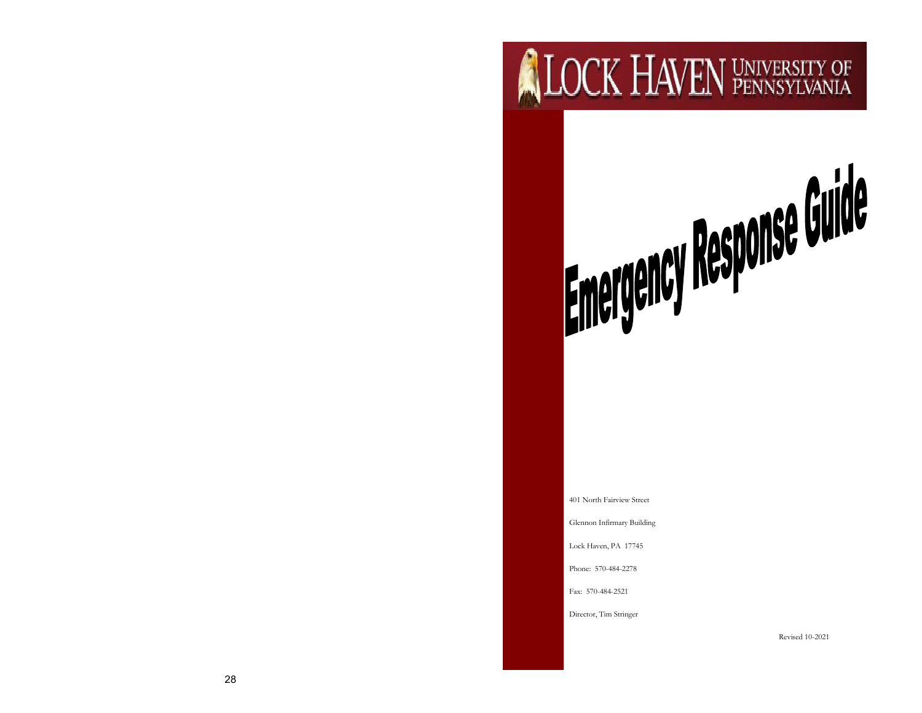# **ALOCK HAVEN UNIVERSITY OF**

# Emergency Response Guide

401 North Fairview Street

Glennon Infirmary Building

Lock Haven, PA 17745

Phone: 570-484-2278

Fax: 570-484-2521

Director, Tim Stringer

Revised 10 -2021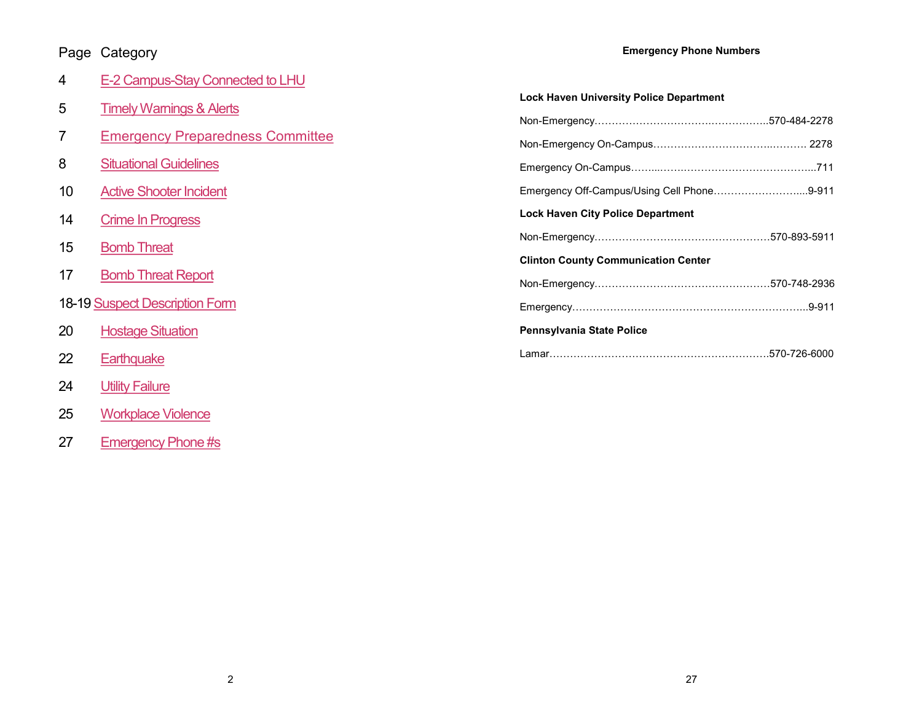# <span id="page-1-0"></span>Page Category

### **Emergency Phone Numbers**

| 4  | E-2 Campus-Stay Connected to LHU        |                                                |  |  |  |
|----|-----------------------------------------|------------------------------------------------|--|--|--|
| 5  | <b>Timely Warnings &amp; Alerts</b>     | <b>Lock Haven University Police Department</b> |  |  |  |
|    |                                         |                                                |  |  |  |
|    | <b>Emergency Preparedness Committee</b> |                                                |  |  |  |
| 8  | <b>Situational Guidelines</b>           |                                                |  |  |  |
| 10 | <b>Active Shooter Incident</b>          | Emergency Off-Campus/Using Cell Phone9-911     |  |  |  |
| 14 | <b>Crime In Progress</b>                | <b>Lock Haven City Police Department</b>       |  |  |  |
| 15 | <b>Bomb Threat</b>                      |                                                |  |  |  |
|    |                                         | <b>Clinton County Communication Center</b>     |  |  |  |
| 17 | <b>Bomb Threat Report</b>               |                                                |  |  |  |
|    | <b>18-19 Suspect Description Form</b>   |                                                |  |  |  |
| 20 | <b>Hostage Situation</b>                | Pennsylvania State Police                      |  |  |  |
| 22 | Earthquake                              |                                                |  |  |  |
| 24 | <b>Utility Failure</b>                  |                                                |  |  |  |

- 25 [Workplace Violence](#page-3-0)
- 27 [Emergency Phone #s](#page-1-0)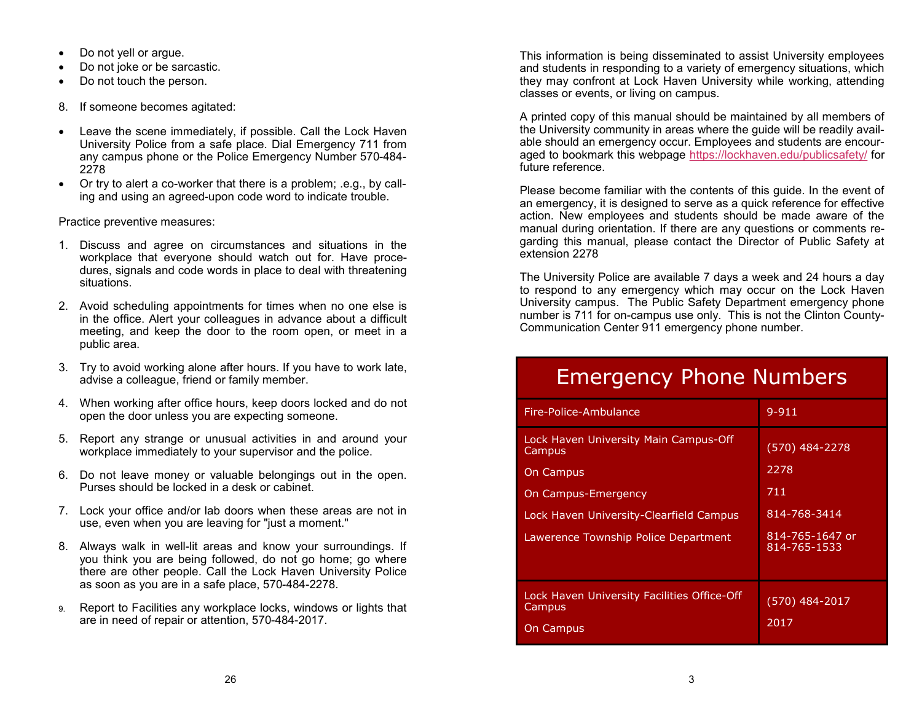- Do not yell or argue.
- Do not joke or be sarcastic.
- Do not touch the person.
- 8. If someone becomes agitated:
- Leave the scene immediately, if possible. Call the Lock Haven University Police from a safe place. Dial Emergency 711 from any campus phone or the Police Emergency Number 570-484- 2278
- Or try to alert a co-worker that there is a problem; .e.g., by calling and using an agreed-upon code word to indicate trouble.

Practice preventive measures:

- 1. Discuss and agree on circumstances and situations in the workplace that everyone should watch out for. Have procedures, signals and code words in place to deal with threatening situations.
- 2. Avoid scheduling appointments for times when no one else is in the office. Alert your colleagues in advance about a difficult meeting, and keep the door to the room open, or meet in a public area.
- 3. Try to avoid working alone after hours. If you have to work late, advise a colleague, friend or family member.
- 4. When working after office hours, keep doors locked and do not open the door unless you are expecting someone.
- 5. Report any strange or unusual activities in and around your workplace immediately to your supervisor and the police.
- 6. Do not leave money or valuable belongings out in the open. Purses should be locked in a desk or cabinet.
- 7. Lock your office and/or lab doors when these areas are not in use, even when you are leaving for "just a moment."
- 8. Always walk in well-lit areas and know your surroundings. If you think you are being followed, do not go home; go where there are other people. Call the Lock Haven University Police as soon as you are in a safe place, 570-484-2278.
- 9. Report to Facilities any workplace locks, windows or lights that are in need of repair or attention, 570-484-2017.

This information is being disseminated to assist University employees and students in responding to a variety of emergency situations, which they may confront at Lock Haven University while working, attending classes or events, or living on campus.

A printed copy of this manual should be maintained by all members of the University community in areas where the guide will be readily available should an emergency occur. Employees and students are encouraged to bookmark this webpage <https://lockhaven.edu/publicsafety/> for future reference.

Please become familiar with the contents of this guide. In the event of an emergency, it is designed to serve as a quick reference for effective action. New employees and students should be made aware of the manual during orientation. If there are any questions or comments regarding this manual, please contact the Director of Public Safety at extension 2278

The University Police are available 7 days a week and 24 hours a day to respond to any emergency which may occur on the Lock Haven University campus. The Public Safety Department emergency phone number is 711 for on-campus use only. This is not the Clinton County-Communication Center 911 emergency phone number.

# Emergency Phone Numbers

| Fire-Police-Ambulance                                                                                                                                                         | $9 - 911$                                                                        |
|-------------------------------------------------------------------------------------------------------------------------------------------------------------------------------|----------------------------------------------------------------------------------|
| Lock Haven University Main Campus-Off<br>Campus<br><b>On Campus</b><br>On Campus-Emergency<br>Lock Haven University-Clearfield Campus<br>Lawerence Township Police Department | (570) 484-2278<br>2278<br>711<br>814-768-3414<br>814-765-1647 or<br>814-765-1533 |
| Lock Haven University Facilities Office-Off<br>Campus<br>On Campus                                                                                                            | $(570)$ 484-2017<br>2017                                                         |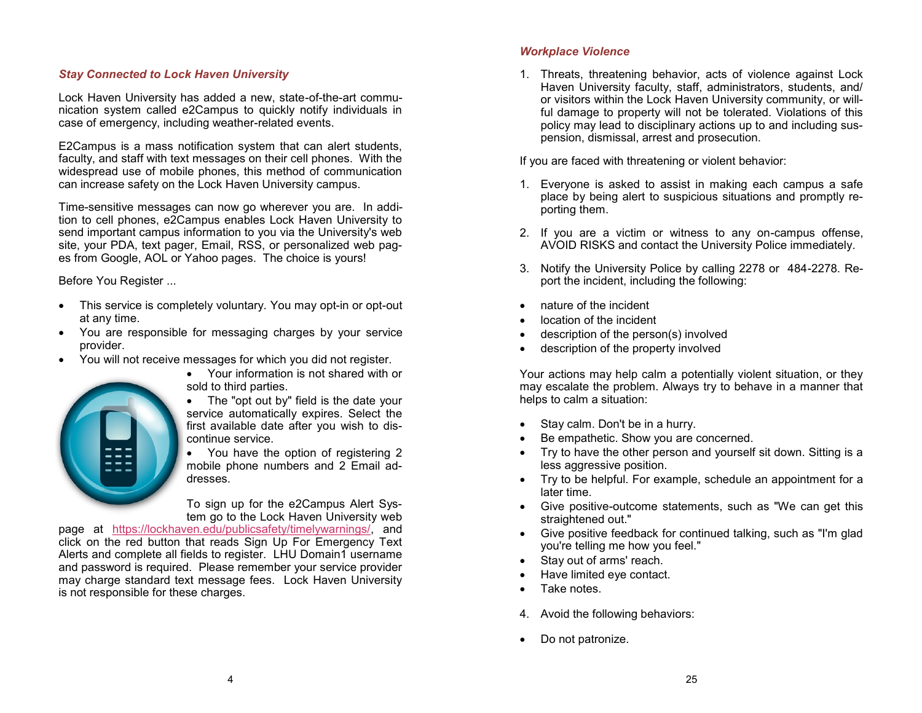### <span id="page-3-0"></span>*Stay Connected to Lock Haven University*

Lock Haven University has added a new, state-of-the-art communication system called e2Campus to quickly notify individuals in case of emergency, including weather-related events.

E2Campus is a mass notification system that can alert students, faculty, and staff with text messages on their cell phones. With the widespread use of mobile phones, this method of communication can increase safety on the Lock Haven University campus.

Time-sensitive messages can now go wherever you are. In addition to cell phones, e2Campus enables Lock Haven University to send important campus information to you via the University's web site, your PDA, text pager, Email, RSS, or personalized web pages from Google, AOL or Yahoo pages. The choice is yours!

Before You Register ...

- This service is completely voluntary. You may opt-in or opt-out at any time.
- You are responsible for messaging charges by your service provider.
- You will not receive messages for which you did not register.



- Your information is not shared with or sold to third parties.
- The "opt out by" field is the date your service automatically expires. Select the first available date after you wish to discontinue service.

• You have the option of registering 2 mobile phone numbers and 2 Email addresses.

To sign up for the e2Campus Alert System go to the Lock Haven University web

page at [https://lockhaven.edu/publicsafety/timelywarnings/,](https://lockhaven.edu/publicsafety/timelywarnings/) and click on the red button that reads Sign Up For Emergency Text Alerts and complete all fields to register. LHU Domain1 username and password is required. Please remember your service provider may charge standard text message fees. Lock Haven University is not responsible for these charges.

### *Workplace Violence*

1. Threats, threatening behavior, acts of violence against Lock Haven University faculty, staff, administrators, students, and/ or visitors within the Lock Haven University community, or willful damage to property will not be tolerated. Violations of this policy may lead to disciplinary actions up to and including suspension, dismissal, arrest and prosecution.

If you are faced with threatening or violent behavior:

- 1. Everyone is asked to assist in making each campus a safe place by being alert to suspicious situations and promptly reporting them.
- 2. If you are a victim or witness to any on-campus offense, AVOID RISKS and contact the University Police immediately.
- 3. Notify the University Police by calling 2278 or 484-2278. Report the incident, including the following:
- nature of the incident
- location of the incident
- description of the person(s) involved
- description of the property involved

Your actions may help calm a potentially violent situation, or they may escalate the problem. Always try to behave in a manner that helps to calm a situation:

- Stay calm. Don't be in a hurry.
- Be empathetic. Show you are concerned.
- Try to have the other person and yourself sit down. Sitting is a less aggressive position.
- Try to be helpful. For example, schedule an appointment for a later time.
- Give positive-outcome statements, such as "We can get this straightened out."
- Give positive feedback for continued talking, such as "I'm glad you're telling me how you feel."
- Stay out of arms' reach.
- Have limited eye contact.
- Take notes.
- 4. Avoid the following behaviors:
- Do not patronize.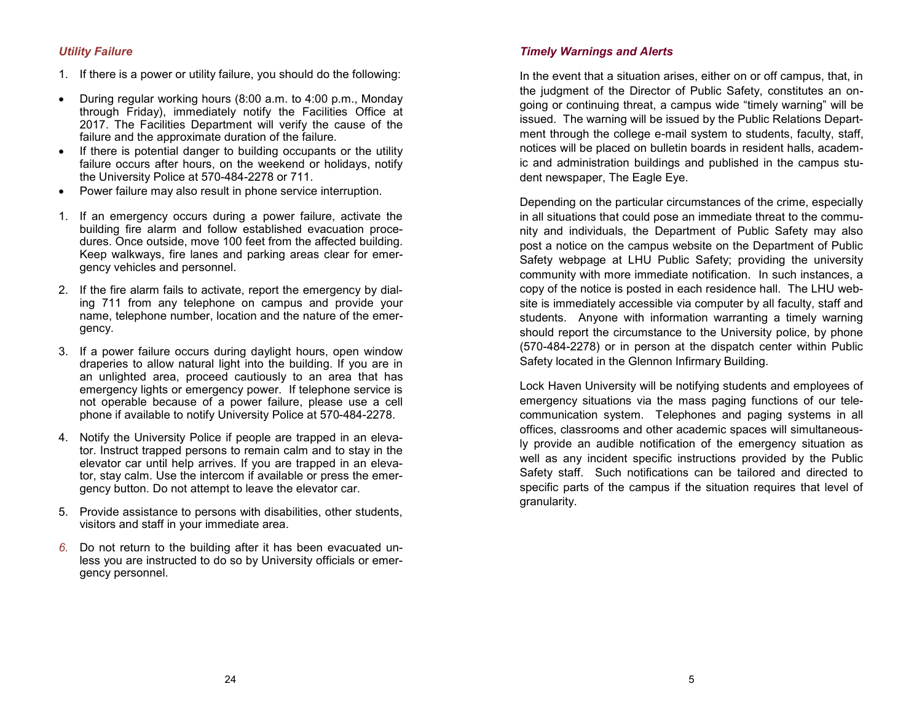### <span id="page-4-0"></span>*Utility Failure*

- 1. If there is a power or utility failure, you should do the following:
- During regular working hours (8:00 a.m. to 4:00 p.m., Monday through Friday), immediately notify the Facilities Office at 2017. The Facilities Department will verify the cause of the failure and the approximate duration of the failure.
- If there is potential danger to building occupants or the utility failure occurs after hours, on the weekend or holidays, notify the University Police at 570-484-2278 or 711.
- Power failure may also result in phone service interruption.
- 1. If an emergency occurs during a power failure, activate the building fire alarm and follow established evacuation procedures. Once outside, move 100 feet from the affected building. Keep walkways, fire lanes and parking areas clear for emergency vehicles and personnel.
- 2. If the fire alarm fails to activate, report the emergency by dialing 711 from any telephone on campus and provide your name, telephone number, location and the nature of the emergency.
- 3. If a power failure occurs during daylight hours, open window draperies to allow natural light into the building. If you are in an unlighted area, proceed cautiously to an area that has emergency lights or emergency power. If telephone service is not operable because of a power failure, please use a cell phone if available to notify University Police at 570-484-2278.
- 4. Notify the University Police if people are trapped in an elevator. Instruct trapped persons to remain calm and to stay in the elevator car until help arrives. If you are trapped in an elevator, stay calm. Use the intercom if available or press the emergency button. Do not attempt to leave the elevator car.
- 5. Provide assistance to persons with disabilities, other students, visitors and staff in your immediate area.
- *6.* Do not return to the building after it has been evacuated unless you are instructed to do so by University officials or emergency personnel.

### *Timely Warnings and Alerts*

In the event that a situation arises, either on or off campus, that, in the judgment of the Director of Public Safety, constitutes an ongoing or continuing threat, a campus wide "timely warning" will be issued. The warning will be issued by the Public Relations Department through the college e-mail system to students, faculty, staff, notices will be placed on bulletin boards in resident halls, academic and administration buildings and published in the campus student newspaper, The Eagle Eye.

Depending on the particular circumstances of the crime, especially in all situations that could pose an immediate threat to the community and individuals, the Department of Public Safety may also post a notice on the campus website on the Department of Public Safety webpage at LHU Public Safety; providing the university community with more immediate notification. In such instances, a copy of the notice is posted in each residence hall. The LHU website is immediately accessible via computer by all faculty, staff and students. Anyone with information warranting a timely warning should report the circumstance to the University police, by phone (570-484-2278) or in person at the dispatch center within Public Safety located in the Glennon Infirmary Building.

Lock Haven University will be notifying students and employees of emergency situations via the mass paging functions of our telecommunication system. Telephones and paging systems in all offices, classrooms and other academic spaces will simultaneously provide an audible notification of the emergency situation as well as any incident specific instructions provided by the Public Safety staff. Such notifications can be tailored and directed to specific parts of the campus if the situation requires that level of granularity.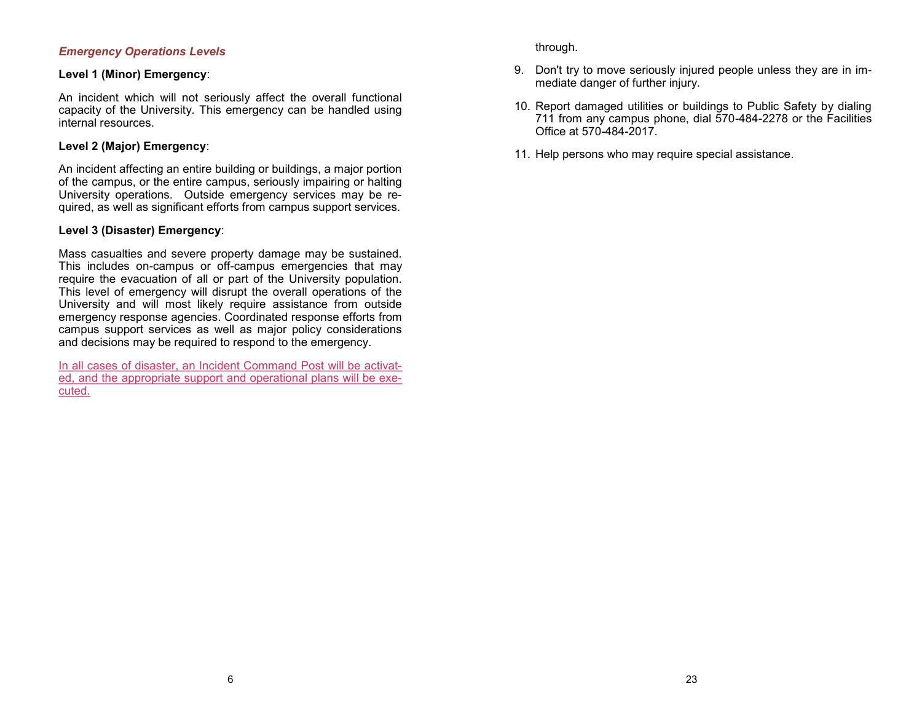### *Emergency Operations Levels*

### **Level 1 (Minor) Emergency**:

An incident which will not seriously affect the overall functional capacity of the University. This emergency can be handled using internal resources.

### **Level 2 (Major) Emergency**:

An incident affecting an entire building or buildings, a major portion of the campus, or the entire campus, seriously impairing or halting University operations. Outside emergency services may be required, as well as significant efforts from campus support services.

### **Level 3 (Disaster) Emergency**:

Mass casualties and severe property damage may be sustained. This includes on-campus or off-campus emergencies that may require the evacuation of all or part of the University population. This level of emergency will disrupt the overall operations of the University and will most likely require assistance from outside emergency response agencies. Coordinated response efforts from campus support services as well as major policy considerations and decisions may be required to respond to the emergency.

In all cases of disaster, an Incident Command Post will be activated, and the appropriate support and operational plans will be executed.

through.

- 9. Don't try to move seriously injured people unless they are in immediate danger of further injury.
- 10. Report damaged utilities or buildings to Public Safety by dialing 711 from any campus phone, dial 570-484-2278 or the Facilities Office at 570-484-2017.
- 11. Help persons who may require special assistance.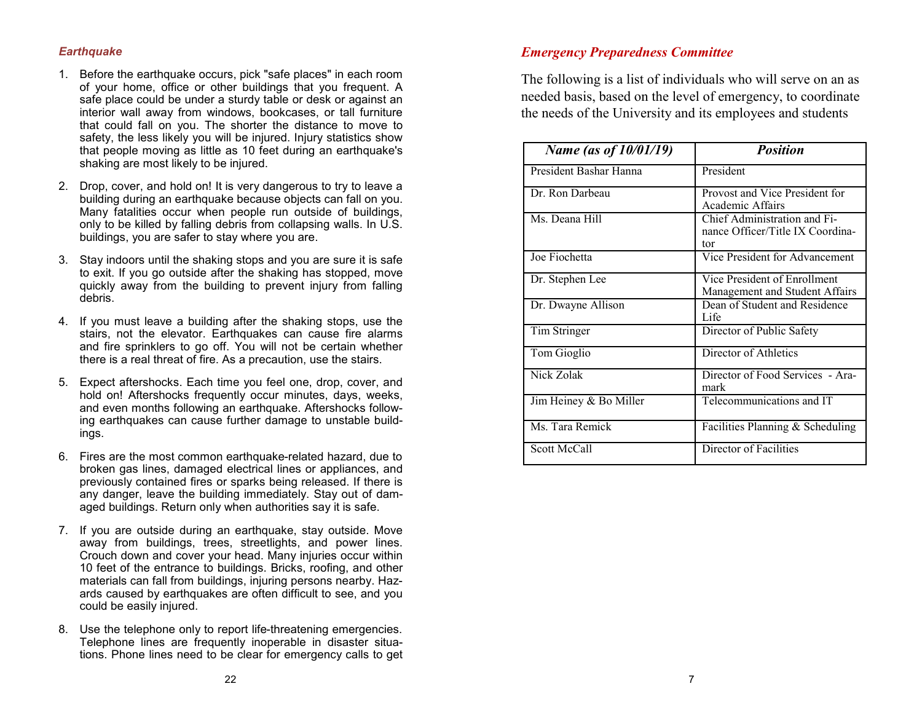### <span id="page-6-0"></span>*Earthquake*

- 1. Before the earthquake occurs, pick "safe places" in each room of your home, office or other buildings that you frequent. A safe place could be under a sturdy table or desk or against an interior wall away from windows, bookcases, or tall furniture that could fall on you. The shorter the distance to move to safety, the less likely you will be injured. Injury statistics show that people moving as little as 10 feet during an earthquake's shaking are most likely to be injured.
- 2. Drop, cover, and hold on! It is very dangerous to try to leave a building during an earthquake because objects can fall on you. Many fatalities occur when people run outside of buildings, only to be killed by falling debris from collapsing walls. In U.S. buildings, you are safer to stay where you are.
- 3. Stay indoors until the shaking stops and you are sure it is safe to exit. If you go outside after the shaking has stopped, move quickly away from the building to prevent injury from falling debris.
- 4. If you must leave a building after the shaking stops, use the stairs, not the elevator. Earthquakes can cause fire alarms and fire sprinklers to go off. You will not be certain whether there is a real threat of fire. As a precaution, use the stairs.
- 5. Expect aftershocks. Each time you feel one, drop, cover, and hold on! Aftershocks frequently occur minutes, days, weeks, and even months following an earthquake. Aftershocks following earthquakes can cause further damage to unstable buildings.
- 6. Fires are the most common earthquake-related hazard, due to broken gas lines, damaged electrical lines or appliances, and previously contained fires or sparks being released. If there is any danger, leave the building immediately. Stay out of damaged buildings. Return only when authorities say it is safe.
- 7. If you are outside during an earthquake, stay outside. Move away from buildings, trees, streetlights, and power lines. Crouch down and cover your head. Many injuries occur within 10 feet of the entrance to buildings. Bricks, roofing, and other materials can fall from buildings, injuring persons nearby. Hazards caused by earthquakes are often difficult to see, and you could be easily injured.
- 8. Use the telephone only to report life-threatening emergencies. Telephone lines are frequently inoperable in disaster situations. Phone lines need to be clear for emergency calls to get

### *Emergency Preparedness Committee*

The following is a list of individuals who will serve on an as needed basis, based on the level of emergency, to coordinate the needs of the University and its employees and students

| Name (as of 10/01/19)  | <b>Position</b>                                                         |
|------------------------|-------------------------------------------------------------------------|
| President Bashar Hanna | President                                                               |
| Dr. Ron Darbeau        | Provost and Vice President for<br>Academic Affairs                      |
| Ms. Deana Hill         | Chief Administration and Fi-<br>nance Officer/Title IX Coordina-<br>tor |
| Joe Fiochetta          | Vice President for Advancement                                          |
| Dr. Stephen Lee        | Vice President of Enrollment<br>Management and Student Affairs          |
| Dr. Dwayne Allison     | Dean of Student and Residence<br>Life                                   |
| Tim Stringer           | Director of Public Safety                                               |
| Tom Gioglio            | Director of Athletics                                                   |
| Nick Zolak             | Director of Food Services - Ara-<br>mark                                |
| Jim Heiney & Bo Miller | Telecommunications and IT                                               |
| Ms. Tara Remick        | Facilities Planning & Scheduling                                        |
| Scott McCall           | Director of Facilities                                                  |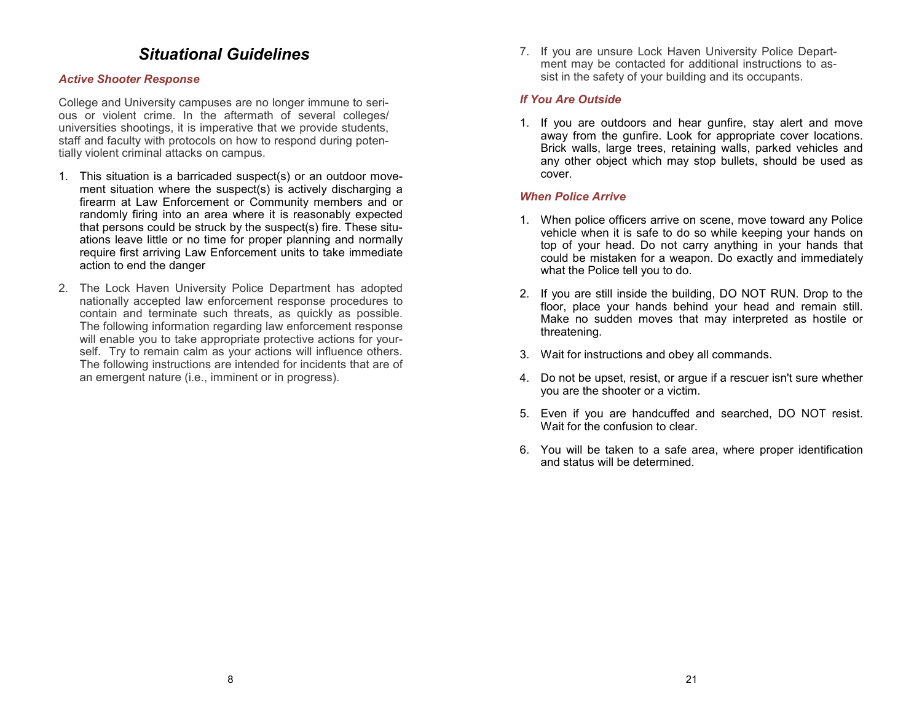## *Situational Guidelines*

### <span id="page-7-0"></span>*Active Shooter Response*

College and University campuses are no longer immune to serious or violent crime. In the aftermath of several colleges/ universities shootings, it is imperative that we provide students, staff and faculty with protocols on how to respond during potentially violent criminal attacks on campus.

- 1. This situation is a barricaded suspect(s) or an outdoor movement situation where the suspect(s) is actively discharging a firearm at Law Enforcement or Community members and or randomly firing into an area where it is reasonably expected that persons could be struck by the suspect(s) fire. These situations leave little or no time for proper planning and normally require first arriving Law Enforcement units to take immediate action to end the danger
- 2. The Lock Haven University Police Department has adopted nationally accepted law enforcement response procedures to contain and terminate such threats, as quickly as possible. The following information regarding law enforcement response will enable you to take appropriate protective actions for yourself. Try to remain calm as your actions will influence others. The following instructions are intended for incidents that are of an emergent nature (i.e., imminent or in progress).

7. If you are unsure Lock Haven University Police Department may be contacted for additional instructions to assist in the safety of your building and its occupants.

### *If You Are Outside*

1. If you are outdoors and hear gunfire, stay alert and move away from the gunfire. Look for appropriate cover locations. Brick walls, large trees, retaining walls, parked vehicles and any other object which may stop bullets, should be used as cover.

### *When Police Arrive*

- 1. When police officers arrive on scene, move toward any Police vehicle when it is safe to do so while keeping your hands on top of your head. Do not carry anything in your hands that could be mistaken for a weapon. Do exactly and immediately what the Police tell you to do.
- 2. If you are still inside the building, DO NOT RUN. Drop to the floor, place your hands behind your head and remain still. Make no sudden moves that may interpreted as hostile or threatening.
- 3. Wait for instructions and obey all commands.
- 4. Do not be upset, resist, or argue if a rescuer isn't sure whether you are the shooter or a victim.
- 5. Even if you are handcuffed and searched, DO NOT resist. Wait for the confusion to clear.
- 6. You will be taken to a safe area, where proper identification and status will be determined.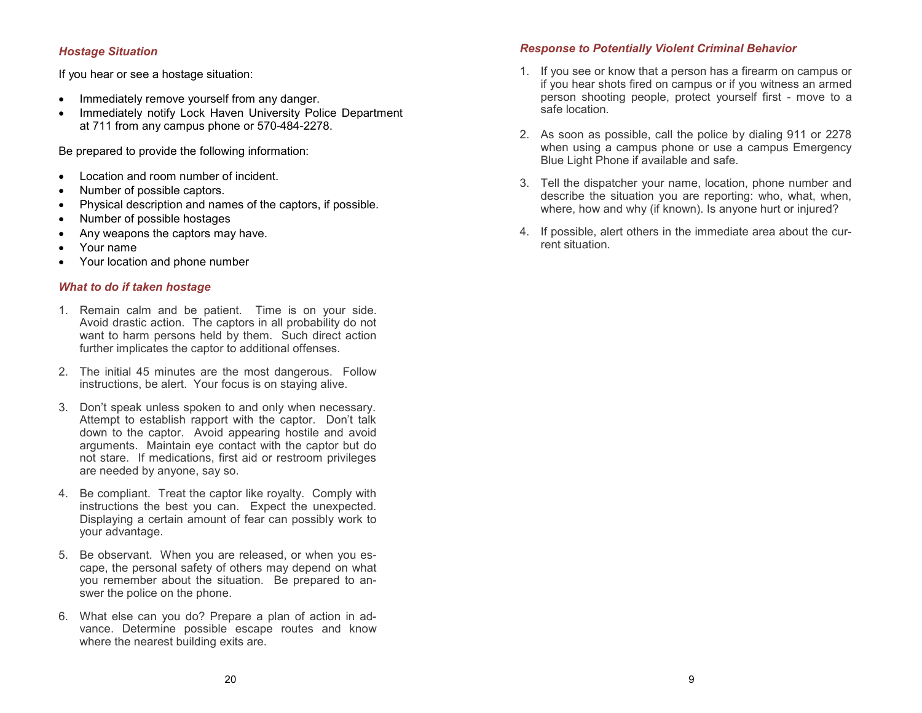### <span id="page-8-0"></span>*Hostage Situation*

If you hear or see a hostage situation:

- Immediately remove yourself from any danger.
- Immediately notify Lock Haven University Police Department at 711 from any campus phone or 570-484-2278.

Be prepared to provide the following information:

- Location and room number of incident.
- Number of possible captors.
- Physical description and names of the captors, if possible.
- Number of possible hostages
- Any weapons the captors may have.
- Your name
- Your location and phone number

### *What to do if taken hostage*

- 1. Remain calm and be patient. Time is on your side. Avoid drastic action. The captors in all probability do not want to harm persons held by them. Such direct action further implicates the captor to additional offenses.
- 2. The initial 45 minutes are the most dangerous. Follow instructions, be alert. Your focus is on staying alive.
- 3. Don't speak unless spoken to and only when necessary. Attempt to establish rapport with the captor. Don't talk down to the captor. Avoid appearing hostile and avoid arguments. Maintain eye contact with the captor but do not stare. If medications, first aid or restroom privileges are needed by anyone, say so.
- 4. Be compliant. Treat the captor like royalty. Comply with instructions the best you can. Expect the unexpected. Displaying a certain amount of fear can possibly work to your advantage.
- 5. Be observant. When you are released, or when you escape, the personal safety of others may depend on what you remember about the situation. Be prepared to answer the police on the phone.
- 6. What else can you do? Prepare a plan of action in advance. Determine possible escape routes and know where the nearest building exits are.

### *Response to Potentially Violent Criminal Behavior*

- 1. If you see or know that a person has a firearm on campus or if you hear shots fired on campus or if you witness an armed person shooting people, protect yourself first - move to a safe location.
- 2. As soon as possible, call the police by dialing 911 or 2278 when using a campus phone or use a campus Emergency Blue Light Phone if available and safe.
- 3. Tell the dispatcher your name, location, phone number and describe the situation you are reporting: who, what, when, where, how and why (if known). Is anyone hurt or injured?
- 4. If possible, alert others in the immediate area about the current situation.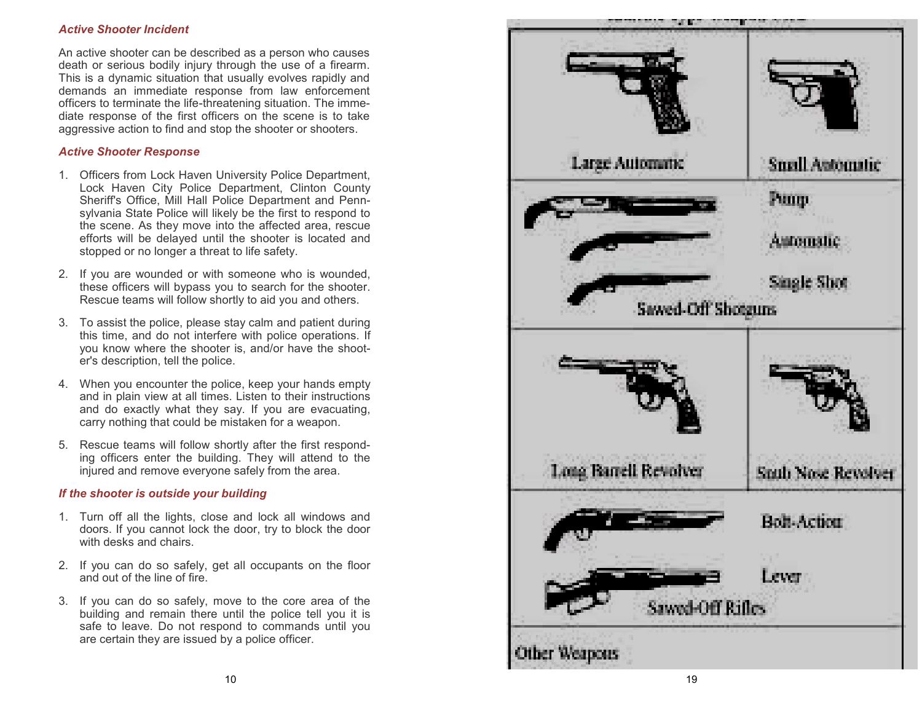### <span id="page-9-0"></span>*Active Shooter Incident*

An active shooter can be described as a person who causes death or serious bodily injury through the use of a firearm. This is a dynamic situation that usually evolves rapidly and demands an immediate response from law enforcement officers to terminate the life -threatening situation. The immediate response of the first officers on the scene is to take aggressive action to find and stop the shooter or shooters.

### *Active Shooter Response*

- 1. Officers from Lock Haven University Police Department, Lock Haven City Police Department, Clinton County Sheriff's Office, Mill Hall Police Department and Pennsylvania State Police will likely be the first to respond to the scene. As they move into the affected area, rescue efforts will be delayed until the shooter is located and stopped or no longer a threat to life safety.
- 2. If you are wounded or with someone who is wounded, these officers will bypass you to search for the shooter. Rescue teams will follow shortly to aid you and others.
- 3. To assist the police, please stay calm and patient during this time, and do not interfere with police operations. If you know where the shooter is, and/or have the shooter's description, tell the police.
- 4. When you encounter the police, keep your hands empty and in plain view at all times. Listen to their instructions and do exactly what they say. If you are evacuating, carry nothing that could be mistaken for a weapon.
- 5. Rescue teams will follow shortly after the first responding officers enter the building. They will attend to the injured and remove everyone safely from the area.

### *If the shooter is outside your building*

- 1. Turn off all the lights, close and lock all windows and doors. If you cannot lock the door, try to block the door with desks and chairs.
- 2. If you can do so safely, get all occupants on the floor and out of the line of fire.
- 3. If you can do so safely, move to the core area of the building and remain there until the police tell you it is safe to leave. Do not respond to commands until you are certain they are issued by a police officer.

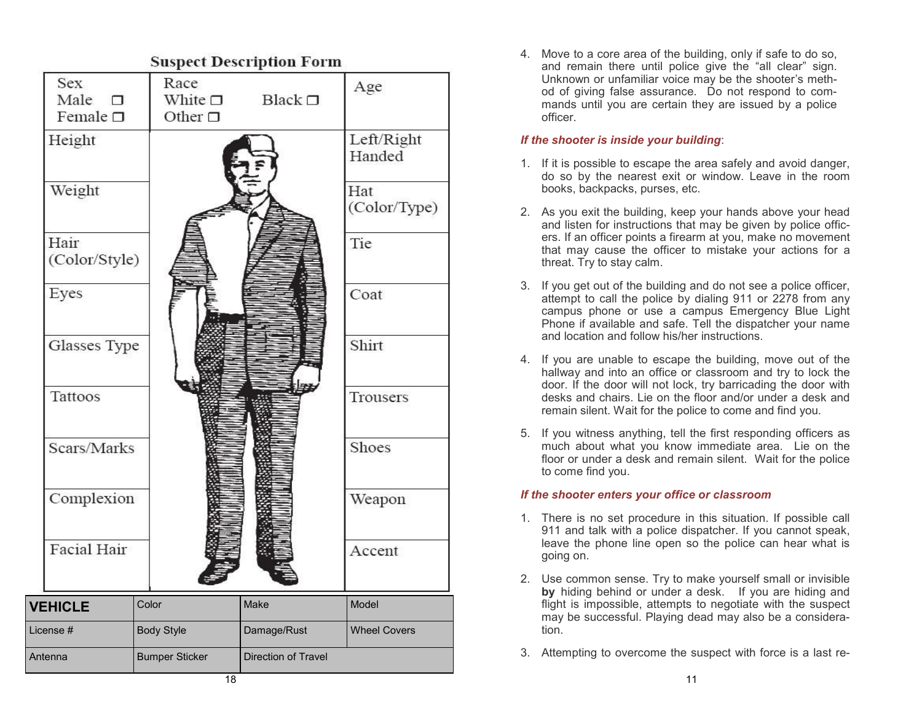<span id="page-10-0"></span>

|                                               |                         | Suspect Description Form  |                      |  |
|-----------------------------------------------|-------------------------|---------------------------|----------------------|--|
| <b>Sex</b><br>Male $\square$<br>Female $\Box$ | Race<br>Other $\square$ | White $\Box$ Black $\Box$ | Age                  |  |
| Height                                        |                         |                           | Left/Right<br>Handed |  |
| Weight                                        |                         |                           | Hat<br>(Color/Type)  |  |
| Hair<br>(Color/Style)                         |                         |                           | Tie                  |  |
| Eyes                                          |                         |                           | Coat                 |  |
| Glasses Type                                  |                         |                           | Shirt                |  |
| Tattoos                                       |                         |                           | Trousers             |  |
| Scars/Marks                                   |                         |                           | Shoes                |  |
| Complexion                                    |                         |                           | Weapon               |  |
| Facial Hair                                   |                         |                           | Accent               |  |
| <b>VEHICLE</b>                                | Color                   | Make                      | Model                |  |
| License #                                     | <b>Body Style</b>       | Damage/Rust               | <b>Wheel Covers</b>  |  |
| Antenna                                       | <b>Bumper Sticker</b>   | Direction of Travel       |                      |  |
|                                               | 18                      |                           |                      |  |

4. Move to a core area of the building, only if safe to do so, and remain there until police give the "all clear" sign. Unknown or unfamiliar voice may be the shooter's method of giving false assurance. Do not respond to commands until you are certain they are issued by a police officer.

### *If the shooter is inside your building*:

- 1. If it is possible to escape the area safely and avoid danger, do so by the nearest exit or window. Leave in the room books, backpacks, purses, etc.
- 2. As you exit the building, keep your hands above your head and listen for instructions that may be given by police officers. If an officer points a firearm at you, make no movement that may cause the officer to mistake your actions for a threat. Try to stay calm.
- 3. If you get out of the building and do not see a police officer, attempt to call the police by dialing 911 or 2278 from any campus phone or use a campus Emergency Blue Light Phone if available and safe. Tell the dispatcher your name and location and follow his/her instructions.
- 4. If you are unable to escape the building, move out of the hallway and into an office or classroom and try to lock the door. If the door will not lock, try barricading the door with desks and chairs. Lie on the floor and/or under a desk and remain silent. Wait for the police to come and find you.
- 5. If you witness anything, tell the first responding officers as much about what you know immediate area. Lie on the floor or under a desk and remain silent. Wait for the police to come find you.

### *If the shooter enters your office or classroom*

- 1. There is no set procedure in this situation. If possible call 911 and talk with a police dispatcher. If you cannot speak, leave the phone line open so the police can hear what is going on.
- 2. Use common sense. Try to make yourself small or invisible **by** hiding behind or under a desk. If you are hiding and flight is impossible, attempts to negotiate with the suspect may be successful. Playing dead may also be a consideration.
- 3. Attempting to overcome the suspect with force is a last re-

11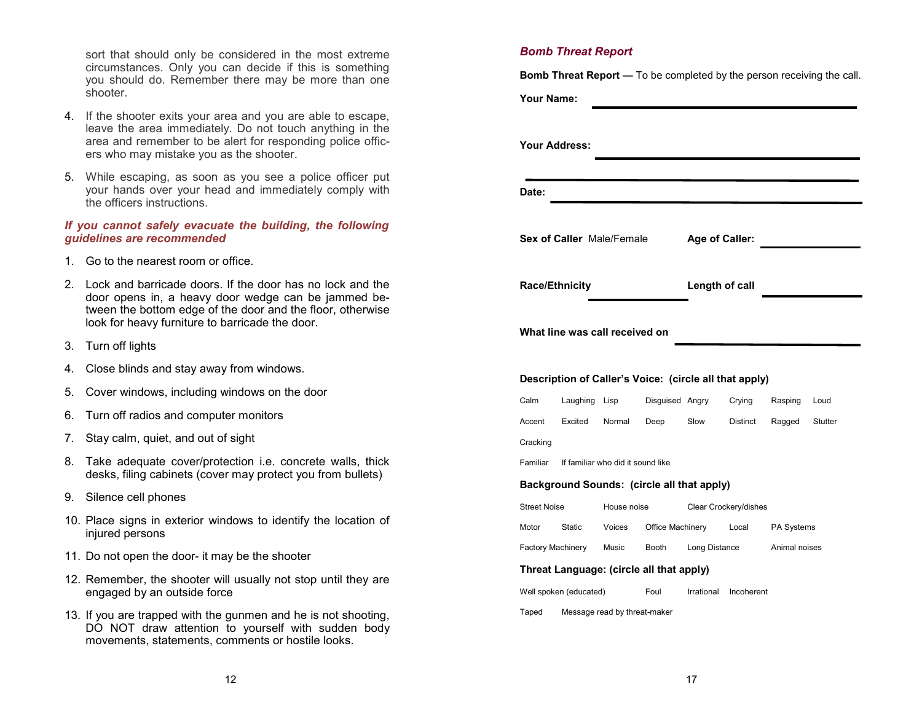sort that should only be considered in the most extreme circumstances. Only you can decide if this is something you should do. Remember there may be more than one shooter.

- 4. If the shooter exits your area and you are able to escape, leave the area immediately. Do not touch anything in the area and remember to be alert for responding police officers who may mistake you as the shooter.
- 5. While escaping, as soon as you see a police officer put your hands over your head and immediately comply with the officers instructions.

### *If you cannot safely evacuate the building, the following guidelines are recommended*

- 1. Go to the nearest room or office.
- 2. Lock and barricade doors. If the door has no lock and the door opens in, a heavy door wedge can be jammed between the bottom edge of the door and the floor, otherwise look for heavy furniture to barricade the door.
- 3. Turn off lights
- 4. Close blinds and stay away from windows.
- 5. Cover windows, including windows on the door
- 6. Turn off radios and computer monitors
- 7. Stay calm, quiet, and out of sight
- 8. Take adequate cover/protection i.e. concrete walls, thick desks, filing cabinets (cover may protect you from bullets)
- 9. Silence cell phones
- 10. Place signs in exterior windows to identify the location of injured persons
- 11. Do not open the door- it may be the shooter
- 12. Remember, the shooter will usually not stop until they are engaged by an outside force
- 13. If you are trapped with the gunmen and he is not shooting, DO NOT draw attention to yourself with sudden body movements, statements, comments or hostile looks.

### *Bomb Threat Report*

**Bomb Threat Report —** To be completed by the person receiving the call.

**Your Name:**

| Your Address:                                          |                              |                                   |                                            |                 |            |               |                |
|--------------------------------------------------------|------------------------------|-----------------------------------|--------------------------------------------|-----------------|------------|---------------|----------------|
| Date:                                                  |                              |                                   |                                            |                 |            |               |                |
| <b>Sex of Caller Male/Female</b>                       |                              |                                   |                                            | Age of Caller:  |            |               |                |
| <b>Race/Ethnicity</b>                                  |                              |                                   |                                            | Length of call  |            |               |                |
| What line was call received on                         |                              |                                   |                                            |                 |            |               |                |
| Description of Caller's Voice: (circle all that apply) |                              |                                   |                                            |                 |            |               |                |
| Calm                                                   |                              | Laughing Lisp                     |                                            | Disguised Angry | Crying     | Rasping       | Loud           |
| Accent                                                 |                              | Excited Normal                    | Deep Slow                                  |                 | Distinct   | Ragged        | <b>Stutter</b> |
| Cracking                                               |                              |                                   |                                            |                 |            |               |                |
| Familiar                                               |                              | If familiar who did it sound like |                                            |                 |            |               |                |
|                                                        |                              |                                   | Background Sounds: (circle all that apply) |                 |            |               |                |
| <b>Street Noise</b>                                    |                              | House noise                       | Clear Crockery/dishes                      |                 |            |               |                |
| Motor                                                  |                              |                                   | Static Voices Office Machinery Local       |                 |            | PA Systems    |                |
|                                                        | Factory Machinery Music      |                                   | Booth                                      | Long Distance   |            | Animal noises |                |
| Threat Language: (circle all that apply)               |                              |                                   |                                            |                 |            |               |                |
| Well spoken (educated)                                 |                              |                                   | Foul                                       | Irrational      | Incoherent |               |                |
| Taped                                                  | Message read by threat-maker |                                   |                                            |                 |            |               |                |
|                                                        |                              |                                   |                                            |                 |            |               |                |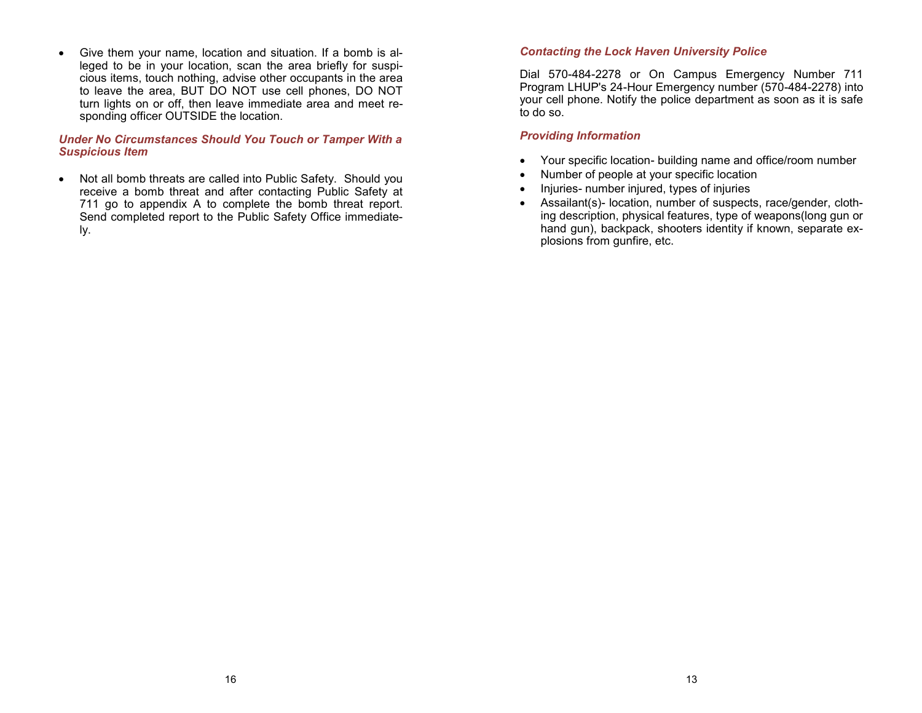<span id="page-12-0"></span>• Give them your name, location and situation. If a bomb is alleged to be in your location, scan the area briefly for suspicious items, touch nothing, advise other occupants in the area to leave the area, BUT DO NOT use cell phones, DO NOT turn lights on or off, then leave immediate area and meet responding officer OUTSIDE the location.

### *Under No Circumstances Should You Touch or Tamper With a Suspicious Item*

• Not all bomb threats are called into Public Safety. Should you receive a bomb threat and after contacting Public Safety at 711 go to appendix A to complete the bomb threat report. Send completed report to the Public Safety Office immediately.

### *Contacting the Lock Haven University Police*

Dial 570-484-2278 or On Campus Emergency Number 711 Program LHUP's 24-Hour Emergency number (570-484-2278) into your cell phone. Notify the police department as soon as it is safe to do so.

### *Providing Information*

- Your specific location- building name and office/room number
- Number of people at your specific location
- Injuries- number injured, types of injuries
- Assailant(s)- location, number of suspects, race/gender, clothing description, physical features, type of weapons(long gun or hand gun), backpack, shooters identity if known, separate explosions from gunfire, etc.